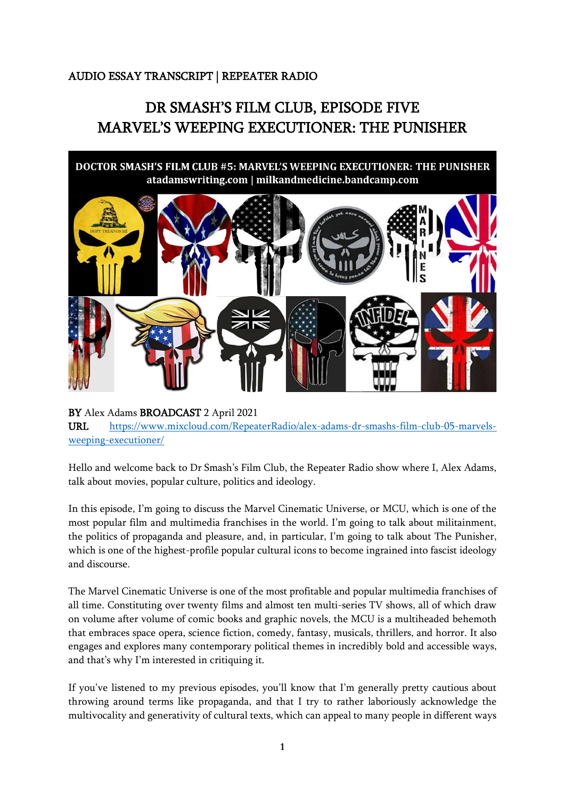## AUDIO ESSAY TRANSCRIPT | REPEATER RADIO

## DR SMASH'S FILM CLUB, EPISODE FIVE MARVEL'S WEEPING EXECUTIONER: THE PUNISHER

DOCTOR SMASH'S FILM CLUB #5: MARVEL'S WEEPING EXECUTIONER: THE PUNISHER atadamswriting.com | milkandmedicine.bandcamp.com



## BY Alex Adams BROADCAST 2 April 2021 URL [https://www.mixcloud.com/RepeaterRadio/alex-adams-dr-smashs-film-club-05-marvels](https://www.mixcloud.com/RepeaterRadio/alex-adams-dr-smashs-film-club-05-marvels-weeping-executioner/)[weeping-executioner/](https://www.mixcloud.com/RepeaterRadio/alex-adams-dr-smashs-film-club-05-marvels-weeping-executioner/)

Hello and welcome back to Dr Smash's Film Club, the Repeater Radio show where I, Alex Adams, talk about movies, popular culture, politics and ideology.

In this episode, I'm going to discuss the Marvel Cinematic Universe, or MCU, which is one of the most popular film and multimedia franchises in the world. I'm going to talk about militainment, the politics of propaganda and pleasure, and, in particular, I'm going to talk about The Punisher, which is one of the highest-profile popular cultural icons to become ingrained into fascist ideology and discourse.

The Marvel Cinematic Universe is one of the most profitable and popular multimedia franchises of all time. Constituting over twenty films and almost ten multi-series TV shows, all of which draw on volume after volume of comic books and graphic novels, the MCU is a multiheaded behemoth that embraces space opera, science fiction, comedy, fantasy, musicals, thrillers, and horror. It also engages and explores many contemporary political themes in incredibly bold and accessible ways, and that's why I'm interested in critiquing it.

If you've listened to my previous episodes, you'll know that I'm generally pretty cautious about throwing around terms like propaganda, and that I try to rather laboriously acknowledge the multivocality and generativity of cultural texts, which can appeal to many people in different ways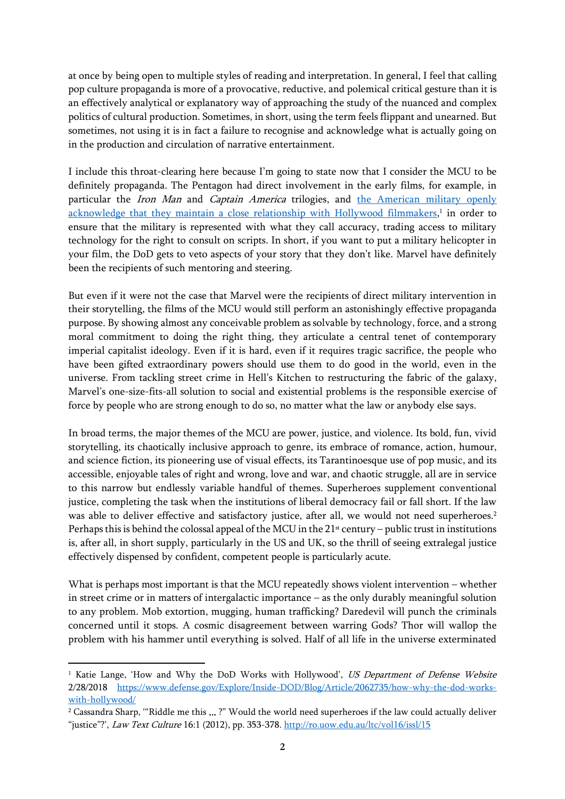at once by being open to multiple styles of reading and interpretation. In general, I feel that calling pop culture propaganda is more of a provocative, reductive, and polemical critical gesture than it is an effectively analytical or explanatory way of approaching the study of the nuanced and complex politics of cultural production. Sometimes, in short, using the term feels flippant and unearned. But sometimes, not using it is in fact a failure to recognise and acknowledge what is actually going on in the production and circulation of narrative entertainment.

I include this throat-clearing here because I'm going to state now that I consider the MCU to be definitely propaganda. The Pentagon had direct involvement in the early films, for example, in particular the *Iron Man* and *Captain America* trilogies, and the American military openly [acknowledge that they maintain a close relationship with Hollywood filmmakers,](https://www.defense.gov/Explore/Inside-DOD/Blog/Article/2062735/how-why-the-dod-works-with-hollywood/) 1 in order to ensure that the military is represented with what they call accuracy, trading access to military technology for the right to consult on scripts. In short, if you want to put a military helicopter in your film, the DoD gets to veto aspects of your story that they don't like. Marvel have definitely been the recipients of such mentoring and steering.

But even if it were not the case that Marvel were the recipients of direct military intervention in their storytelling, the films of the MCU would still perform an astonishingly effective propaganda purpose. By showing almost any conceivable problem as solvable by technology, force, and a strong moral commitment to doing the right thing, they articulate a central tenet of contemporary imperial capitalist ideology. Even if it is hard, even if it requires tragic sacrifice, the people who have been gifted extraordinary powers should use them to do good in the world, even in the universe. From tackling street crime in Hell's Kitchen to restructuring the fabric of the galaxy, Marvel's one-size-fits-all solution to social and existential problems is the responsible exercise of force by people who are strong enough to do so, no matter what the law or anybody else says.

In broad terms, the major themes of the MCU are power, justice, and violence. Its bold, fun, vivid storytelling, its chaotically inclusive approach to genre, its embrace of romance, action, humour, and science fiction, its pioneering use of visual effects, its Tarantinoesque use of pop music, and its accessible, enjoyable tales of right and wrong, love and war, and chaotic struggle, all are in service to this narrow but endlessly variable handful of themes. Superheroes supplement conventional justice, completing the task when the institutions of liberal democracy fail or fall short. If the law was able to deliver effective and satisfactory justice, after all, we would not need superheroes.<sup>2</sup> Perhaps this is behind the colossal appeal of the MCU in the 21<sup>st</sup> century – public trust in institutions is, after all, in short supply, particularly in the US and UK, so the thrill of seeing extralegal justice effectively dispensed by confident, competent people is particularly acute.

What is perhaps most important is that the MCU repeatedly shows violent intervention – whether in street crime or in matters of intergalactic importance – as the only durably meaningful solution to any problem. Mob extortion, mugging, human trafficking? Daredevil will punch the criminals concerned until it stops. A cosmic disagreement between warring Gods? Thor will wallop the problem with his hammer until everything is solved. Half of all life in the universe exterminated

<sup>&</sup>lt;sup>1</sup> Katie Lange, 'How and Why the DoD Works with Hollywood', US Department of Defense Website 2/28/2018 [https://www.defense.gov/Explore/Inside-DOD/Blog/Article/2062735/how-why-the-dod-works](https://www.defense.gov/Explore/Inside-DOD/Blog/Article/2062735/how-why-the-dod-works-with-hollywood/)[with-hollywood/](https://www.defense.gov/Explore/Inside-DOD/Blog/Article/2062735/how-why-the-dod-works-with-hollywood/)

<sup>&</sup>lt;sup>2</sup> Cassandra Sharp, "Riddle me this ... ?" Would the world need superheroes if the law could actually deliver "justice"?', Law Text Culture 16:1 (2012), pp. 353-378. <http://ro.uow.edu.au/ltc/vol16/issl/15>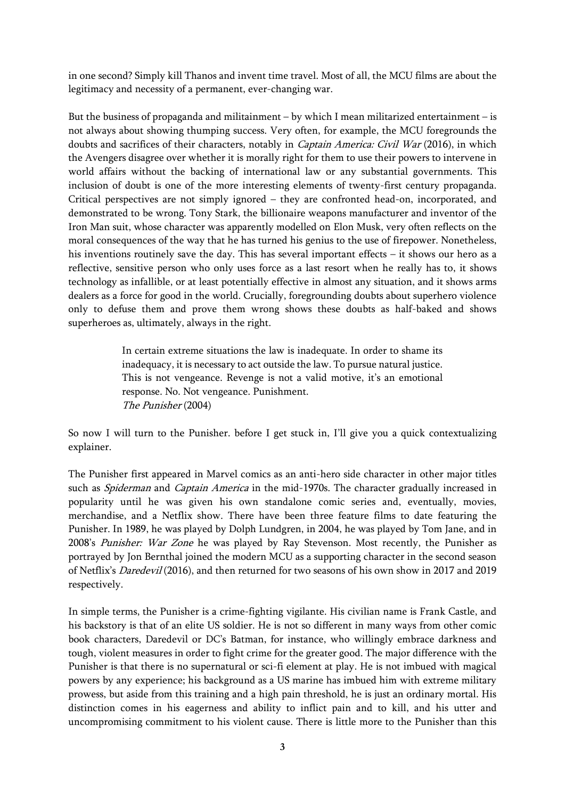in one second? Simply kill Thanos and invent time travel. Most of all, the MCU films are about the legitimacy and necessity of a permanent, ever-changing war.

But the business of propaganda and militainment – by which I mean militarized entertainment – is not always about showing thumping success. Very often, for example, the MCU foregrounds the doubts and sacrifices of their characters, notably in *Captain America: Civil War* (2016), in which the Avengers disagree over whether it is morally right for them to use their powers to intervene in world affairs without the backing of international law or any substantial governments. This inclusion of doubt is one of the more interesting elements of twenty-first century propaganda. Critical perspectives are not simply ignored – they are confronted head-on, incorporated, and demonstrated to be wrong. Tony Stark, the billionaire weapons manufacturer and inventor of the Iron Man suit, whose character was apparently modelled on Elon Musk, very often reflects on the moral consequences of the way that he has turned his genius to the use of firepower. Nonetheless, his inventions routinely save the day. This has several important effects – it shows our hero as a reflective, sensitive person who only uses force as a last resort when he really has to, it shows technology as infallible, or at least potentially effective in almost any situation, and it shows arms dealers as a force for good in the world. Crucially, foregrounding doubts about superhero violence only to defuse them and prove them wrong shows these doubts as half-baked and shows superheroes as, ultimately, always in the right.

> In certain extreme situations the law is inadequate. In order to shame its inadequacy, it is necessary to act outside the law. To pursue natural justice. This is not vengeance. Revenge is not a valid motive, it's an emotional response. No. Not vengeance. Punishment. The Punisher (2004)

So now I will turn to the Punisher. before I get stuck in, I'll give you a quick contextualizing explainer.

The Punisher first appeared in Marvel comics as an anti-hero side character in other major titles such as Spiderman and Captain America in the mid-1970s. The character gradually increased in popularity until he was given his own standalone comic series and, eventually, movies, merchandise, and a Netflix show. There have been three feature films to date featuring the Punisher. In 1989, he was played by Dolph Lundgren, in 2004, he was played by Tom Jane, and in 2008's Punisher: War Zone he was played by Ray Stevenson. Most recently, the Punisher as portrayed by Jon Bernthal joined the modern MCU as a supporting character in the second season of Netflix's Daredevil (2016), and then returned for two seasons of his own show in 2017 and 2019 respectively.

In simple terms, the Punisher is a crime-fighting vigilante. His civilian name is Frank Castle, and his backstory is that of an elite US soldier. He is not so different in many ways from other comic book characters, Daredevil or DC's Batman, for instance, who willingly embrace darkness and tough, violent measures in order to fight crime for the greater good. The major difference with the Punisher is that there is no supernatural or sci-fi element at play. He is not imbued with magical powers by any experience; his background as a US marine has imbued him with extreme military prowess, but aside from this training and a high pain threshold, he is just an ordinary mortal. His distinction comes in his eagerness and ability to inflict pain and to kill, and his utter and uncompromising commitment to his violent cause. There is little more to the Punisher than this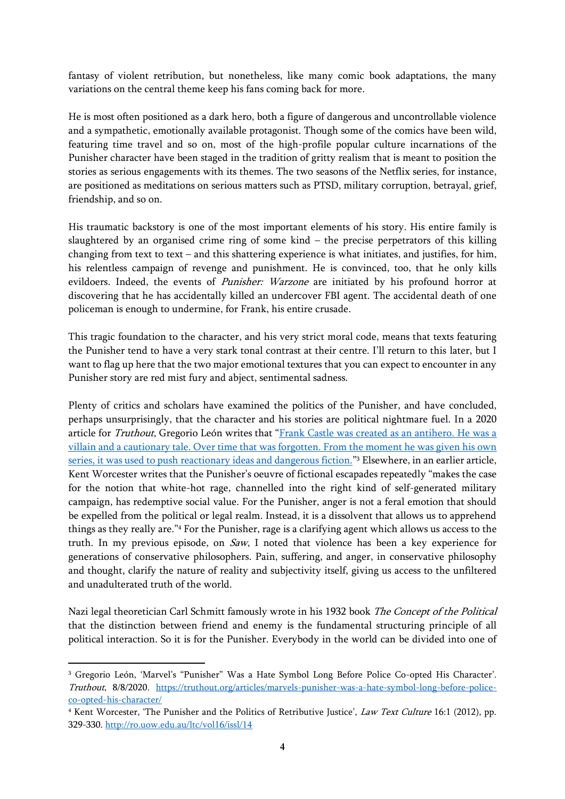fantasy of violent retribution, but nonetheless, like many comic book adaptations, the many variations on the central theme keep his fans coming back for more.

He is most often positioned as a dark hero, both a figure of dangerous and uncontrollable violence and a sympathetic, emotionally available protagonist. Though some of the comics have been wild, featuring time travel and so on, most of the high-profile popular culture incarnations of the Punisher character have been staged in the tradition of gritty realism that is meant to position the stories as serious engagements with its themes. The two seasons of the Netflix series, for instance, are positioned as meditations on serious matters such as PTSD, military corruption, betrayal, grief, friendship, and so on.

His traumatic backstory is one of the most important elements of his story. His entire family is slaughtered by an organised crime ring of some kind – the precise perpetrators of this killing changing from text to text – and this shattering experience is what initiates, and justifies, for him, his relentless campaign of revenge and punishment. He is convinced, too, that he only kills evildoers. Indeed, the events of *Punisher: Warzone* are initiated by his profound horror at discovering that he has accidentally killed an undercover FBI agent. The accidental death of one policeman is enough to undermine, for Frank, his entire crusade.

This tragic foundation to the character, and his very strict moral code, means that texts featuring the Punisher tend to have a very stark tonal contrast at their centre. I'll return to this later, but I want to flag up here that the two major emotional textures that you can expect to encounter in any Punisher story are red mist fury and abject, sentimental sadness.

Plenty of critics and scholars have examined the politics of the Punisher, and have concluded, perhaps unsurprisingly, that the character and his stories are political nightmare fuel. In a 2020 article for Truthout, Gregorio León writes that "[Frank Castle was created as an antihero. He was a](https://truthout.org/articles/marvels-punisher-was-a-hate-symbol-long-before-police-co-opted-his-character/)  [villain and a cautionary tale. Over time that was forgotten. From the moment he was given his own](https://truthout.org/articles/marvels-punisher-was-a-hate-symbol-long-before-police-co-opted-his-character/)  [series, it was used to push reactionary ideas and dangerous fiction.](https://truthout.org/articles/marvels-punisher-was-a-hate-symbol-long-before-police-co-opted-his-character/)" <sup>3</sup> Elsewhere, in an earlier article, Kent Worcester writes that the Punisher's oeuvre of fictional escapades repeatedly "makes the case for the notion that white-hot rage, channelled into the right kind of self-generated military campaign, has redemptive social value. For the Punisher, anger is not a feral emotion that should be expelled from the political or legal realm. Instead, it is a dissolvent that allows us to apprehend things as they really are."<sup>4</sup> For the Punisher, rage is a clarifying agent which allows us access to the truth. In my previous episode, on  $Saw$ , I noted that violence has been a key experience for generations of conservative philosophers. Pain, suffering, and anger, in conservative philosophy and thought, clarify the nature of reality and subjectivity itself, giving us access to the unfiltered and unadulterated truth of the world.

Nazi legal theoretician Carl Schmitt famously wrote in his 1932 book The Concept of the Political that the distinction between friend and enemy is the fundamental structuring principle of all political interaction. So it is for the Punisher. Everybody in the world can be divided into one of

<sup>3</sup> Gregorio León, 'Marvel's "Punisher" Was a Hate Symbol Long Before Police Co-opted His Character'. Truthout, 8/8/2020. [https://truthout.org/articles/marvels-punisher-was-a-hate-symbol-long-before-police](https://truthout.org/articles/marvels-punisher-was-a-hate-symbol-long-before-police-co-opted-his-character/)[co-opted-his-character/](https://truthout.org/articles/marvels-punisher-was-a-hate-symbol-long-before-police-co-opted-his-character/)

<sup>&</sup>lt;sup>4</sup> Kent Worcester, 'The Punisher and the Politics of Retributive Justice', *Law Text Culture* 16:1 (2012), pp. 329-330. <http://ro.uow.edu.au/ltc/vol16/issl/14>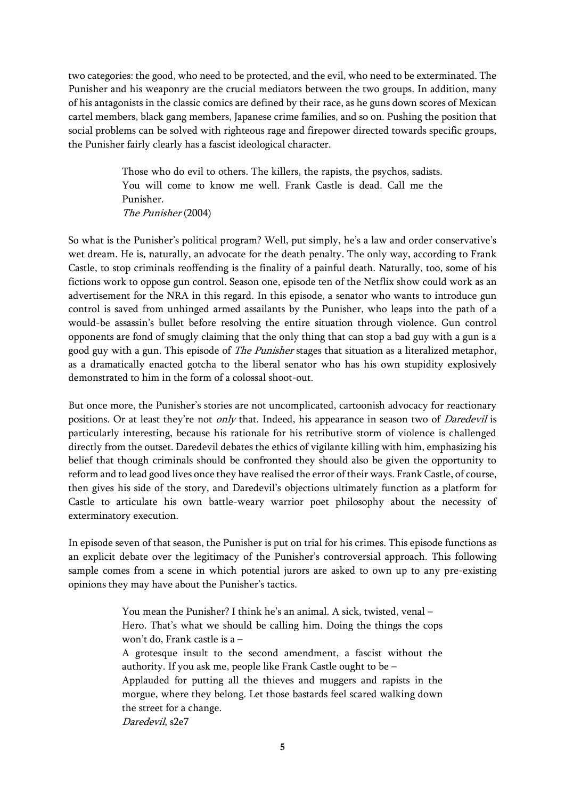two categories: the good, who need to be protected, and the evil, who need to be exterminated. The Punisher and his weaponry are the crucial mediators between the two groups. In addition, many of his antagonists in the classic comics are defined by their race, as he guns down scores of Mexican cartel members, black gang members, Japanese crime families, and so on. Pushing the position that social problems can be solved with righteous rage and firepower directed towards specific groups, the Punisher fairly clearly has a fascist ideological character.

> Those who do evil to others. The killers, the rapists, the psychos, sadists. You will come to know me well. Frank Castle is dead. Call me the Punisher. The Punisher (2004)

So what is the Punisher's political program? Well, put simply, he's a law and order conservative's wet dream. He is, naturally, an advocate for the death penalty. The only way, according to Frank Castle, to stop criminals reoffending is the finality of a painful death. Naturally, too, some of his fictions work to oppose gun control. Season one, episode ten of the Netflix show could work as an advertisement for the NRA in this regard. In this episode, a senator who wants to introduce gun control is saved from unhinged armed assailants by the Punisher, who leaps into the path of a would-be assassin's bullet before resolving the entire situation through violence. Gun control opponents are fond of smugly claiming that the only thing that can stop a bad guy with a gun is a good guy with a gun. This episode of *The Punisher* stages that situation as a literalized metaphor, as a dramatically enacted gotcha to the liberal senator who has his own stupidity explosively demonstrated to him in the form of a colossal shoot-out.

But once more, the Punisher's stories are not uncomplicated, cartoonish advocacy for reactionary positions. Or at least they're not only that. Indeed, his appearance in season two of Daredevil is particularly interesting, because his rationale for his retributive storm of violence is challenged directly from the outset. Daredevil debates the ethics of vigilante killing with him, emphasizing his belief that though criminals should be confronted they should also be given the opportunity to reform and to lead good lives once they have realised the error of their ways. Frank Castle, of course, then gives his side of the story, and Daredevil's objections ultimately function as a platform for Castle to articulate his own battle-weary warrior poet philosophy about the necessity of exterminatory execution.

In episode seven of that season, the Punisher is put on trial for his crimes. This episode functions as an explicit debate over the legitimacy of the Punisher's controversial approach. This following sample comes from a scene in which potential jurors are asked to own up to any pre-existing opinions they may have about the Punisher's tactics.

> You mean the Punisher? I think he's an animal. A sick, twisted, venal – Hero. That's what we should be calling him. Doing the things the cops won't do, Frank castle is a – A grotesque insult to the second amendment, a fascist without the authority. If you ask me, people like Frank Castle ought to be – Applauded for putting all the thieves and muggers and rapists in the morgue, where they belong. Let those bastards feel scared walking down the street for a change. Daredevil, s2e7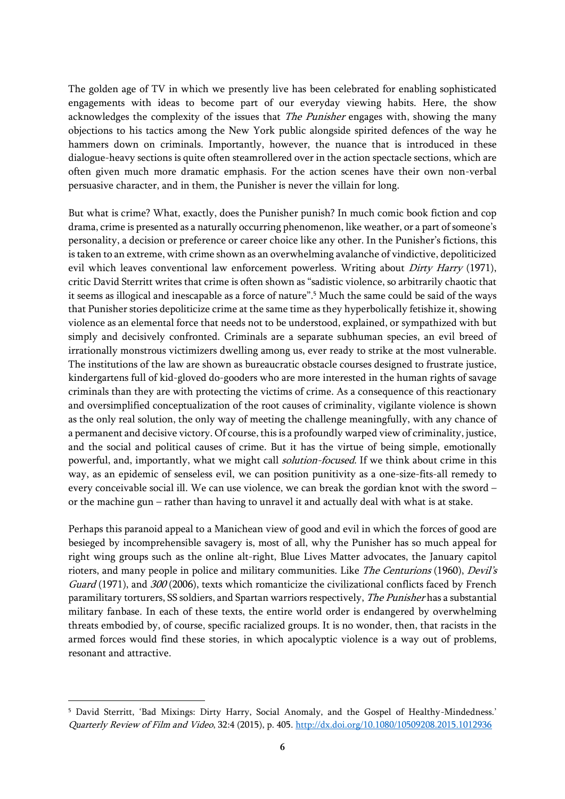The golden age of TV in which we presently live has been celebrated for enabling sophisticated engagements with ideas to become part of our everyday viewing habits. Here, the show acknowledges the complexity of the issues that *The Punisher* engages with, showing the many objections to his tactics among the New York public alongside spirited defences of the way he hammers down on criminals. Importantly, however, the nuance that is introduced in these dialogue-heavy sections is quite often steamrollered over in the action spectacle sections, which are often given much more dramatic emphasis. For the action scenes have their own non-verbal persuasive character, and in them, the Punisher is never the villain for long.

But what is crime? What, exactly, does the Punisher punish? In much comic book fiction and cop drama, crime is presented as a naturally occurring phenomenon, like weather, or a part of someone's personality, a decision or preference or career choice like any other. In the Punisher's fictions, this is taken to an extreme, with crime shown as an overwhelming avalanche of vindictive, depoliticized evil which leaves conventional law enforcement powerless. Writing about *Dirty Harry* (1971), critic David Sterritt writes that crime is often shown as "sadistic violence, so arbitrarily chaotic that it seems as illogical and inescapable as a force of nature". <sup>5</sup> Much the same could be said of the ways that Punisher stories depoliticize crime at the same time as they hyperbolically fetishize it, showing violence as an elemental force that needs not to be understood, explained, or sympathized with but simply and decisively confronted. Criminals are a separate subhuman species, an evil breed of irrationally monstrous victimizers dwelling among us, ever ready to strike at the most vulnerable. The institutions of the law are shown as bureaucratic obstacle courses designed to frustrate justice, kindergartens full of kid-gloved do-gooders who are more interested in the human rights of savage criminals than they are with protecting the victims of crime. As a consequence of this reactionary and oversimplified conceptualization of the root causes of criminality, vigilante violence is shown as the only real solution, the only way of meeting the challenge meaningfully, with any chance of a permanent and decisive victory. Of course, this is a profoundly warped view of criminality, justice, and the social and political causes of crime. But it has the virtue of being simple, emotionally powerful, and, importantly, what we might call *solution-focused*. If we think about crime in this way, as an epidemic of senseless evil, we can position punitivity as a one-size-fits-all remedy to every conceivable social ill. We can use violence, we can break the gordian knot with the sword – or the machine gun – rather than having to unravel it and actually deal with what is at stake.

Perhaps this paranoid appeal to a Manichean view of good and evil in which the forces of good are besieged by incomprehensible savagery is, most of all, why the Punisher has so much appeal for right wing groups such as the online alt-right, Blue Lives Matter advocates, the January capitol rioters, and many people in police and military communities. Like The Centurions (1960), Devil's Guard (1971), and 300 (2006), texts which romanticize the civilizational conflicts faced by French paramilitary torturers, SS soldiers, and Spartan warriors respectively, The Punisher has a substantial military fanbase. In each of these texts, the entire world order is endangered by overwhelming threats embodied by, of course, specific racialized groups. It is no wonder, then, that racists in the armed forces would find these stories, in which apocalyptic violence is a way out of problems, resonant and attractive.

<sup>5</sup> David Sterritt, 'Bad Mixings: Dirty Harry, Social Anomaly, and the Gospel of Healthy-Mindedness.' Quarterly Review of Film and Video, 32:4 (2015), p. 405[. http://dx.doi.org/10.1080/10509208.2015.1012936](http://dx.doi.org/10.1080/10509208.2015.1012936)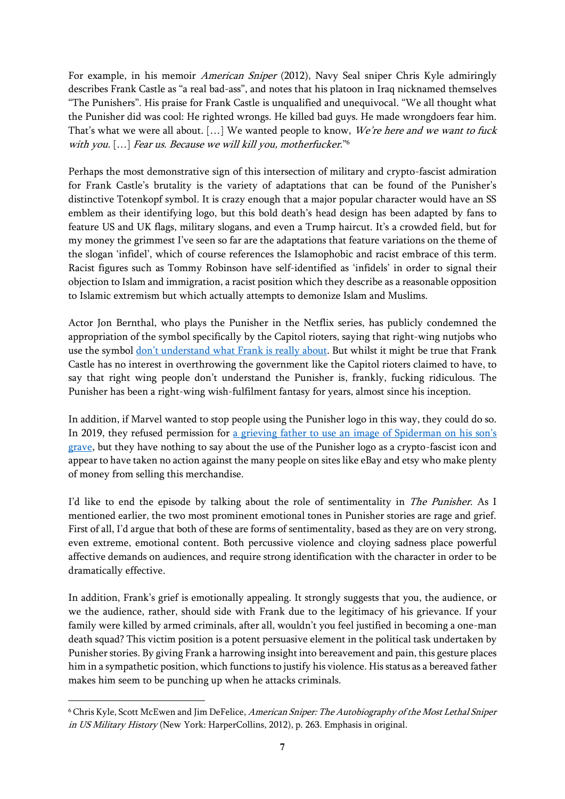For example, in his memoir *American Sniper* (2012), Navy Seal sniper Chris Kyle admiringly describes Frank Castle as "a real bad-ass", and notes that his platoon in Iraq nicknamed themselves "The Punishers". His praise for Frank Castle is unqualified and unequivocal. "We all thought what the Punisher did was cool: He righted wrongs. He killed bad guys. He made wrongdoers fear him. That's what we were all about.  $[\dots]$  We wanted people to know, *We're here and we want to fuck* with you. [...] Fear us. Because we will kill you, motherfucker."<sup>6</sup>

Perhaps the most demonstrative sign of this intersection of military and crypto-fascist admiration for Frank Castle's brutality is the variety of adaptations that can be found of the Punisher's distinctive Totenkopf symbol. It is crazy enough that a major popular character would have an SS emblem as their identifying logo, but this bold death's head design has been adapted by fans to feature US and UK flags, military slogans, and even a Trump haircut. It's a crowded field, but for my money the grimmest I've seen so far are the adaptations that feature variations on the theme of the slogan 'infidel', which of course references the Islamophobic and racist embrace of this term. Racist figures such as Tommy Robinson have self-identified as 'infidels' in order to signal their objection to Islam and immigration, a racist position which they describe as a reasonable opposition to Islamic extremism but which actually attempts to demonize Islam and Muslims.

Actor Jon Bernthal, who plays the Punisher in the Netflix series, has publicly condemned the appropriation of the symbol specifically by the Capitol rioters, saying that right-wing nutjobs who use the symbol [don't understand what Frank is really about](https://twitter.com/jonnybernthal/status/1349133720519798784). But whilst it might be true that Frank Castle has no interest in overthrowing the government like the Capitol rioters claimed to have, to say that right wing people don't understand the Punisher is, frankly, fucking ridiculous. The Punisher has been a right-wing wish-fulfilment fantasy for years, almost since his inception.

In addition, if Marvel wanted to stop people using the Punisher logo in this way, they could do so. In 2019, they refused permission for [a grieving father to use an image of](https://www.independent.co.uk/news/uk/home-news/spider-man-tombstone-marvel-disney-kent-ollie-jones-superhero-a8988336.html) Spiderman on his son's [grave,](https://www.independent.co.uk/news/uk/home-news/spider-man-tombstone-marvel-disney-kent-ollie-jones-superhero-a8988336.html) but they have nothing to say about the use of the Punisher logo as a crypto-fascist icon and appear to have taken no action against the many people on sites like eBay and etsy who make plenty of money from selling this merchandise.

I'd like to end the episode by talking about the role of sentimentality in The Punisher. As I mentioned earlier, the two most prominent emotional tones in Punisher stories are rage and grief. First of all, I'd argue that both of these are forms of sentimentality, based as they are on very strong, even extreme, emotional content. Both percussive violence and cloying sadness place powerful affective demands on audiences, and require strong identification with the character in order to be dramatically effective.

In addition, Frank's grief is emotionally appealing. It strongly suggests that you, the audience, or we the audience, rather, should side with Frank due to the legitimacy of his grievance. If your family were killed by armed criminals, after all, wouldn't you feel justified in becoming a one-man death squad? This victim position is a potent persuasive element in the political task undertaken by Punisher stories. By giving Frank a harrowing insight into bereavement and pain, this gesture places him in a sympathetic position, which functions to justify his violence. His status as a bereaved father makes him seem to be punching up when he attacks criminals.

<sup>&</sup>lt;sup>6</sup> Chris Kyle, Scott McEwen and Jim DeFelice, American Sniper: The Autobiography of the Most Lethal Sniper in US Military History (New York: HarperCollins, 2012), p. 263. Emphasis in original.